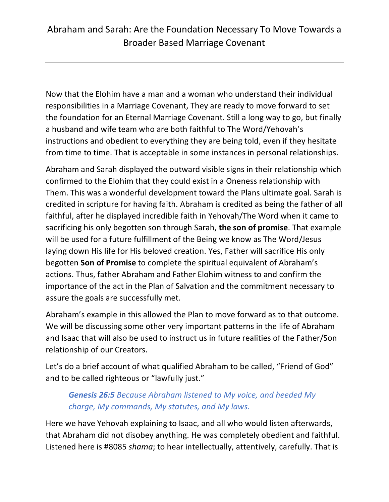Now that the Elohim have a man and a woman who understand their individual responsibilities in a Marriage Covenant, They are ready to move forward to set the foundation for an Eternal Marriage Covenant. Still a long way to go, but finally a husband and wife team who are both faithful to The Word/Yehovah's instructions and obedient to everything they are being told, even if they hesitate from time to time. That is acceptable in some instances in personal relationships.

Abraham and Sarah displayed the outward visible signs in their relationship which confirmed to the Elohim that they could exist in a Oneness relationship with Them. This was a wonderful development toward the Plans ultimate goal. Sarah is credited in scripture for having faith. Abraham is credited as being the father of all faithful, after he displayed incredible faith in Yehovah/The Word when it came to sacrificing his only begotten son through Sarah, **the son of promise**. That example will be used for a future fulfillment of the Being we know as The Word/Jesus laying down His life for His beloved creation. Yes, Father will sacrifice His only begotten **Son of Promise** to complete the spiritual equivalent of Abraham's actions. Thus, father Abraham and Father Elohim witness to and confirm the importance of the act in the Plan of Salvation and the commitment necessary to assure the goals are successfully met.

Abraham's example in this allowed the Plan to move forward as to that outcome. We will be discussing some other very important patterns in the life of Abraham and Isaac that will also be used to instruct us in future realities of the Father/Son relationship of our Creators.

Let's do a brief account of what qualified Abraham to be called, "Friend of God" and to be called righteous or "lawfully just."

# *Genesis 26:5 Because Abraham listened to My voice, and heeded My charge, My commands, My statutes, and My laws.*

Here we have Yehovah explaining to Isaac, and all who would listen afterwards, that Abraham did not disobey anything. He was completely obedient and faithful. Listened here is #8085 *shama*; to hear intellectually, attentively, carefully. That is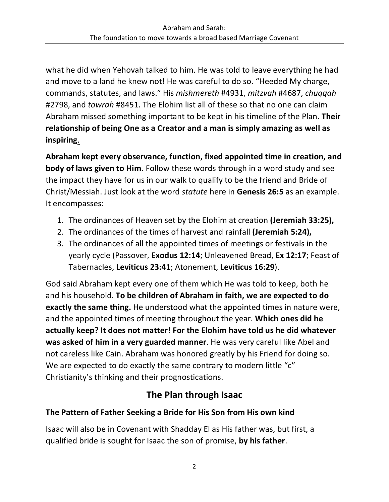what he did when Yehovah talked to him. He was told to leave everything he had and move to a land he knew not! He was careful to do so. "Heeded My charge, commands, statutes, and laws." His *mishmereth* #4931, *mitzvah* #4687, *chuqqah* #2798, and *towrah* #8451. The Elohim list all of these so that no one can claim Abraham missed something important to be kept in his timeline of the Plan. **Their relationship of being One as a Creator and a man is simply amazing as well as inspiring**.

**Abraham kept every observance, function, fixed appointed time in creation, and body of laws given to Him.** Follow these words through in a word study and see the impact they have for us in our walk to qualify to be the friend and Bride of Christ/Messiah. Just look at the word *statute* here in **Genesis 26:5** as an example. It encompasses:

- 1. The ordinances of Heaven set by the Elohim at creation **(Jeremiah 33:25),**
- 2. The ordinances of the times of harvest and rainfall **(Jeremiah 5:24),**
- 3. The ordinances of all the appointed times of meetings or festivals in the yearly cycle (Passover, **Exodus 12:14**; Unleavened Bread, **Ex 12:17**; Feast of Tabernacles, **Leviticus 23:41**; Atonement, **Leviticus 16:29**).

God said Abraham kept every one of them which He was told to keep, both he and his household. **To be children of Abraham in faith, we are expected to do exactly the same thing.** He understood what the appointed times in nature were, and the appointed times of meeting throughout the year. **Which ones did he actually keep? It does not matter! For the Elohim have told us he did whatever was asked of him in a very guarded manner**. He was very careful like Abel and not careless like Cain. Abraham was honored greatly by his Friend for doing so. We are expected to do exactly the same contrary to modern little "c" Christianity's thinking and their prognostications.

# **The Plan through Isaac**

# **The Pattern of Father Seeking a Bride for His Son from His own kind**

Isaac will also be in Covenant with Shadday El as His father was, but first, a qualified bride is sought for Isaac the son of promise, **by his father**.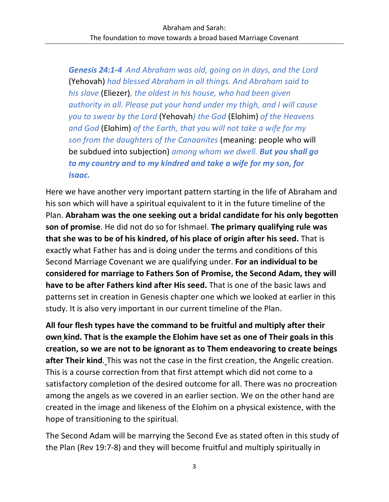*Genesis 24:1-4 And Abraham was old, going on in days, and the Lord*  (Yehovah) *had blessed Abraham in all things. And Abraham said to his slave* (Eliezer)*, the oldest in his house, who had been given authority in all. Please put your hand under my thigh, and I will cause you to swear by the Lord* (Yehovah*) the God* (Elohim) *of the Heavens and God* (Elohim) *of the Earth, that you will not take a wife for my son from the daughters of the Canaanites* (meaning: people who will be subdued into subjection) *among whom we dwell. But you shall go to my country and to my kindred and take a wife for my son, for Isaac.*

Here we have another very important pattern starting in the life of Abraham and his son which will have a spiritual equivalent to it in the future timeline of the Plan. **Abraham was the one seeking out a bridal candidate for his only begotten son of promise**. He did not do so for Ishmael. **The primary qualifying rule was that she was to be of his kindred, of his place of origin after his seed.** That is exactly what Father has and is doing under the terms and conditions of this Second Marriage Covenant we are qualifying under. **For an individual to be considered for marriage to Fathers Son of Promise, the Second Adam, they will have to be after Fathers kind after His seed.** That is one of the basic laws and patterns set in creation in Genesis chapter one which we looked at earlier in this study. It is also very important in our current timeline of the Plan.

**All four flesh types have the command to be fruitful and multiply after their own kind. That is the example the Elohim have set as one of Their goals in this creation, so we are not to be ignorant as to Them endeavoring to create beings after Their kind**. This was not the case in the first creation, the Angelic creation. This is a course correction from that first attempt which did not come to a satisfactory completion of the desired outcome for all. There was no procreation among the angels as we covered in an earlier section. We on the other hand are created in the image and likeness of the Elohim on a physical existence, with the hope of transitioning to the spiritual.

The Second Adam will be marrying the Second Eve as stated often in this study of the Plan (Rev 19:7-8) and they will become fruitful and multiply spiritually in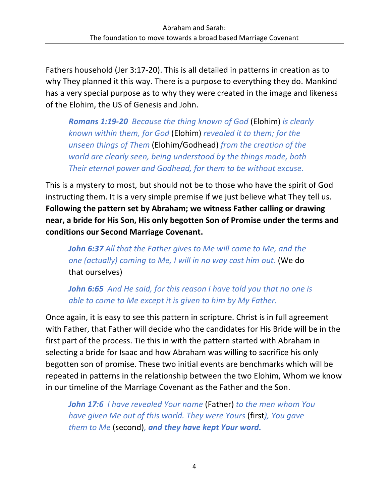Fathers household (Jer 3:17-20). This is all detailed in patterns in creation as to why They planned it this way. There is a purpose to everything they do. Mankind has a very special purpose as to why they were created in the image and likeness of the Elohim, the US of Genesis and John.

*Romans 1:19-20 Because the thing known of God* (Elohim) *is clearly known within them, for God* (Elohim) *revealed it to them; for the unseen things of Them* (Elohim/Godhead) *from the creation of the world are clearly seen, being understood by the things made, both Their eternal power and Godhead, for them to be without excuse.*

This is a mystery to most, but should not be to those who have the spirit of God instructing them. It is a very simple premise if we just believe what They tell us. **Following the pattern set by Abraham; we witness Father calling or drawing near, a bride for His Son, His only begotten Son of Promise under the terms and conditions our Second Marriage Covenant.** 

*John 6:37 All that the Father gives to Me will come to Me, and the one (actually) coming to Me, I will in no way cast him out.* (We do that ourselves)

*John 6:65 And He said, for this reason I have told you that no one is able to come to Me except it is given to him by My Father.*

Once again, it is easy to see this pattern in scripture. Christ is in full agreement with Father, that Father will decide who the candidates for His Bride will be in the first part of the process. Tie this in with the pattern started with Abraham in selecting a bride for Isaac and how Abraham was willing to sacrifice his only begotten son of promise. These two initial events are benchmarks which will be repeated in patterns in the relationship between the two Elohim, Whom we know in our timeline of the Marriage Covenant as the Father and the Son.

*John 17:6 I have revealed Your name* (Father) *to the men whom You have given Me out of this world. They were Yours* (first*), You gave them to Me* (second)*, and they have kept Your word.*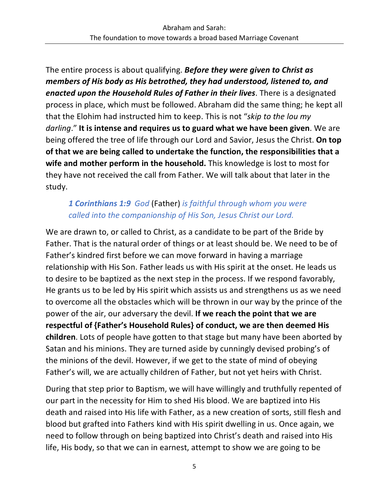The entire process is about qualifying. *Before they were given to Christ as members of His body as His betrothed, they had understood, listened to, and enacted upon the Household Rules of Father in their lives*. There is a designated process in place, which must be followed. Abraham did the same thing; he kept all that the Elohim had instructed him to keep. This is not "*skip to the lou my darling*." **It is intense and requires us to guard what we have been given**. We are being offered the tree of life through our Lord and Savior, Jesus the Christ. **On top of that we are being called to undertake the function, the responsibilities that a wife and mother perform in the household.** This knowledge is lost to most for they have not received the call from Father. We will talk about that later in the study.

# *1 Corinthians 1:9 God* (Father) *is faithful through whom you were called into the companionship of His Son, Jesus Christ our Lord.*

We are drawn to, or called to Christ, as a candidate to be part of the Bride by Father. That is the natural order of things or at least should be. We need to be of Father's kindred first before we can move forward in having a marriage relationship with His Son. Father leads us with His spirit at the onset. He leads us to desire to be baptized as the next step in the process. If we respond favorably, He grants us to be led by His spirit which assists us and strengthens us as we need to overcome all the obstacles which will be thrown in our way by the prince of the power of the air, our adversary the devil. **If we reach the point that we are respectful of {Father's Household Rules} of conduct, we are then deemed His children**. Lots of people have gotten to that stage but many have been aborted by Satan and his minions. They are turned aside by cunningly devised probing's of the minions of the devil. However, if we get to the state of mind of obeying Father's will, we are actually children of Father, but not yet heirs with Christ.

During that step prior to Baptism, we will have willingly and truthfully repented of our part in the necessity for Him to shed His blood. We are baptized into His death and raised into His life with Father, as a new creation of sorts, still flesh and blood but grafted into Fathers kind with His spirit dwelling in us. Once again, we need to follow through on being baptized into Christ's death and raised into His life, His body, so that we can in earnest, attempt to show we are going to be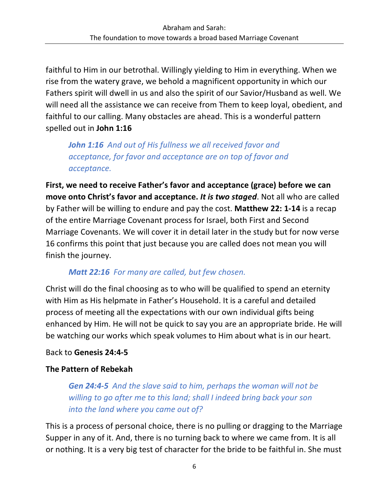faithful to Him in our betrothal. Willingly yielding to Him in everything. When we rise from the watery grave, we behold a magnificent opportunity in which our Fathers spirit will dwell in us and also the spirit of our Savior/Husband as well. We will need all the assistance we can receive from Them to keep loyal, obedient, and faithful to our calling. Many obstacles are ahead. This is a wonderful pattern spelled out in **John 1:16**

*John 1:16 And out of His fullness we all received favor and acceptance, for favor and acceptance are on top of favor and acceptance.*

**First, we need to receive Father's favor and acceptance (grace) before we can move onto Christ's favor and acceptance.** *It is two staged*. Not all who are called by Father will be willing to endure and pay the cost. **Matthew 22: 1-14** is a recap of the entire Marriage Covenant process for Israel, both First and Second Marriage Covenants. We will cover it in detail later in the study but for now verse 16 confirms this point that just because you are called does not mean you will finish the journey.

#### *Matt 22:16 For many are called, but few chosen.*

Christ will do the final choosing as to who will be qualified to spend an eternity with Him as His helpmate in Father's Household. It is a careful and detailed process of meeting all the expectations with our own individual gifts being enhanced by Him. He will not be quick to say you are an appropriate bride. He will be watching our works which speak volumes to Him about what is in our heart.

### Back to **Genesis 24:4-5**

### **The Pattern of Rebekah**

*Gen 24:4-5 And the slave said to him, perhaps the woman will not be willing to go after me to this land; shall I indeed bring back your son into the land where you came out of?*

This is a process of personal choice, there is no pulling or dragging to the Marriage Supper in any of it. And, there is no turning back to where we came from. It is all or nothing. It is a very big test of character for the bride to be faithful in. She must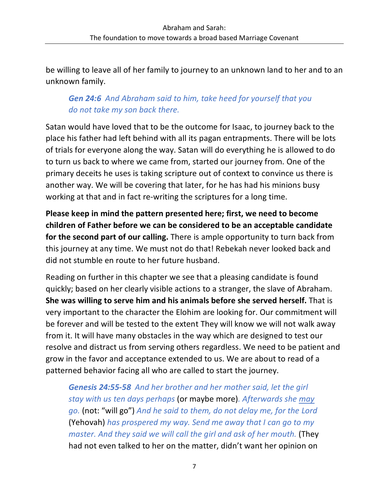be willing to leave all of her family to journey to an unknown land to her and to an unknown family.

## *Gen 24:6 And Abraham said to him, take heed for yourself that you do not take my son back there.*

Satan would have loved that to be the outcome for Isaac, to journey back to the place his father had left behind with all its pagan entrapments. There will be lots of trials for everyone along the way. Satan will do everything he is allowed to do to turn us back to where we came from, started our journey from. One of the primary deceits he uses is taking scripture out of context to convince us there is another way. We will be covering that later, for he has had his minions busy working at that and in fact re-writing the scriptures for a long time.

**Please keep in mind the pattern presented here; first, we need to become children of Father before we can be considered to be an acceptable candidate for the second part of our calling.** There is ample opportunity to turn back from this journey at any time. We must not do that! Rebekah never looked back and did not stumble en route to her future husband.

Reading on further in this chapter we see that a pleasing candidate is found quickly; based on her clearly visible actions to a stranger, the slave of Abraham. **She was willing to serve him and his animals before she served herself.** That is very important to the character the Elohim are looking for. Our commitment will be forever and will be tested to the extent They will know we will not walk away from it. It will have many obstacles in the way which are designed to test our resolve and distract us from serving others regardless. We need to be patient and grow in the favor and acceptance extended to us. We are about to read of a patterned behavior facing all who are called to start the journey.

*Genesis 24:55-58 And her brother and her mother said, let the girl stay with us ten days perhaps* (or maybe more)*. Afterwards she may go.* (not: "will go") *And he said to them, do not delay me, for the Lord*  (Yehovah) *has prospered my way. Send me away that I can go to my master. And they said we will call the girl and ask of her mouth.* (They had not even talked to her on the matter, didn't want her opinion on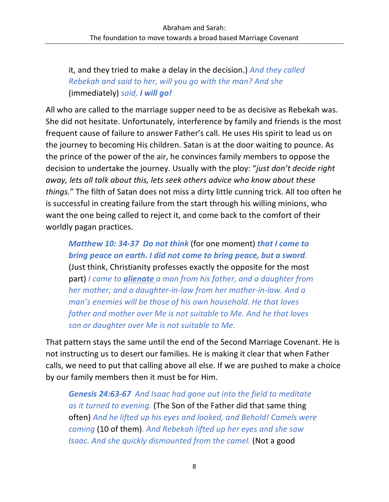it, and they tried to make a delay in the decision.) *And they called Rebekah and said to her, will you go with the man? And she*  (immediately) *said, I will go!*

All who are called to the marriage supper need to be as decisive as Rebekah was. She did not hesitate. Unfortunately, interference by family and friends is the most frequent cause of failure to answer Father's call. He uses His spirit to lead us on the journey to becoming His children. Satan is at the door waiting to pounce. As the prince of the power of the air, he convinces family members to oppose the decision to undertake the journey. Usually with the ploy: "*just don't decide right away, lets all talk about this, lets seek others advice who know about these things.*" The filth of Satan does not miss a dirty little cunning trick. All too often he is successful in creating failure from the start through his willing minions, who want the one being called to reject it, and come back to the comfort of their worldly pagan practices.

*Matthew 10: 34-37 Do not think* (for one moment) *that I came to bring peace on earth. I did not come to bring peace, but a sword.* (Just think, Christianity professes exactly the opposite for the most part) *I came to alienate a man from his father, and a daughter from her mother; and a daughter-in-law from her mother-in-law. And a man's enemies will be those of his own household. He that loves father and mother over Me is not suitable to Me. And he that loves son or daughter over Me is not suitable to Me.*

That pattern stays the same until the end of the Second Marriage Covenant. He is not instructing us to desert our families. He is making it clear that when Father calls, we need to put that calling above all else. If we are pushed to make a choice by our family members then it must be for Him.

*Genesis 24:63-67 And Isaac had gone out into the field to meditate as it turned to evening.* (The Son of the Father did that same thing often) *And he lifted up his eyes and looked, and Behold! Camels were coming* (10 of them)*. And Rebekah lifted up her eyes and she saw Isaac. And she quickly dismounted from the camel.* (Not a good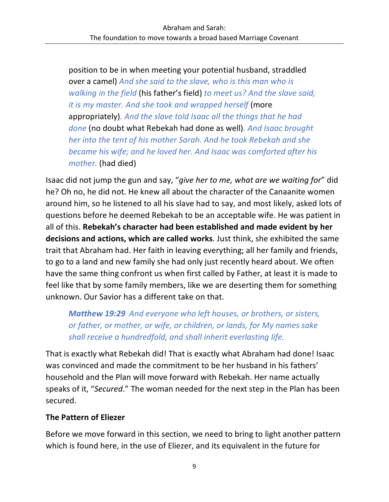position to be in when meeting your potential husband, straddled over a camel) *And she said to the slave, who is this man who is walking in the field* (his father's field) *to meet us? And the slave said, it is my master. And she took and wrapped herself* (more appropriately)*. And the slave told Isaac all the things that he had done* (no doubt what Rebekah had done as well)*. And Isaac brought her into the tent of his mother Sarah. And he took Rebekah and she became his wife; and he loved her. And Isaac was comforted after his mother.* (had died)

Isaac did not jump the gun and say, "*give her to me, what are we waiting for*" did he? Oh no, he did not. He knew all about the character of the Canaanite women around him, so he listened to all his slave had to say, and most likely, asked lots of questions before he deemed Rebekah to be an acceptable wife. He was patient in all of this. **Rebekah's character had been established and made evident by her decisions and actions, which are called works**. Just think, she exhibited the same trait that Abraham had. Her faith in leaving everything; all her family and friends, to go to a land and new family she had only just recently heard about. We often have the same thing confront us when first called by Father, at least it is made to feel like that by some family members, like we are deserting them for something unknown. Our Savior has a different take on that.

*Matthew 19:29 And everyone who left houses, or brothers, or sisters, or father, or mother, or wife, or children, or lands, for My names sake shall receive a hundredfold, and shall inherit everlasting life.*

That is exactly what Rebekah did! That is exactly what Abraham had done! Isaac was convinced and made the commitment to be her husband in his fathers' household and the Plan will move forward with Rebekah. Her name actually speaks of it, "*Secured*." The woman needed for the next step in the Plan has been secured.

#### **The Pattern of Eliezer**

Before we move forward in this section, we need to bring to light another pattern which is found here, in the use of Eliezer, and its equivalent in the future for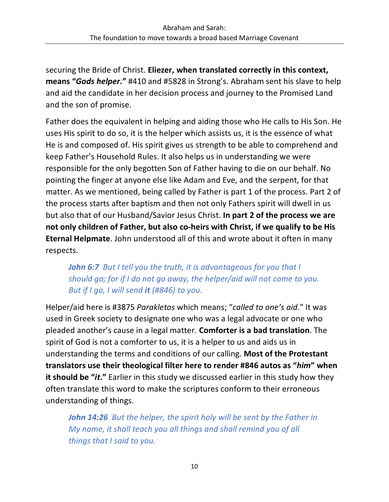securing the Bride of Christ. **Eliezer, when translated correctly in this context, means "***Gods helper***."** #410 and #5828 in Strong's. Abraham sent his slave to help and aid the candidate in her decision process and journey to the Promised Land and the son of promise.

Father does the equivalent in helping and aiding those who He calls to His Son. He uses His spirit to do so, it is the helper which assists us, it is the essence of what He is and composed of. His spirit gives us strength to be able to comprehend and keep Father's Household Rules. It also helps us in understanding we were responsible for the only begotten Son of Father having to die on our behalf. No pointing the finger at anyone else like Adam and Eve, and the serpent, for that matter. As we mentioned, being called by Father is part 1 of the process. Part 2 of the process starts after baptism and then not only Fathers spirit will dwell in us but also that of our Husband/Savior Jesus Christ. **In part 2 of the process we are not only children of Father, but also co-heirs with Christ, if we qualify to be His Eternal Helpmate**. John understood all of this and wrote about it often in many respects.

# *John 6:7 But I tell you the truth, it is advantageous for you that I should go; for if I do not go away, the helper/aid will not come to you. But if I go, I will send it (#846) to you.*

Helper/aid here is #3875 *Parakletos* which means; "*called to one's aid*." It was used in Greek society to designate one who was a legal advocate or one who pleaded another's cause in a legal matter. **Comforter is a bad translation**. The spirit of God is not a comforter to us, it is a helper to us and aids us in understanding the terms and conditions of our calling. **Most of the Protestant translators use their theological filter here to render #846 autos as "***him***" when it should be "***it***."** Earlier in this study we discussed earlier in this study how they often translate this word to make the scriptures conform to their erroneous understanding of things.

*John 14:26 But the helper, the spirit holy will be sent by the Father in My name, it shall teach you all things and shall remind you of all things that I said to you.*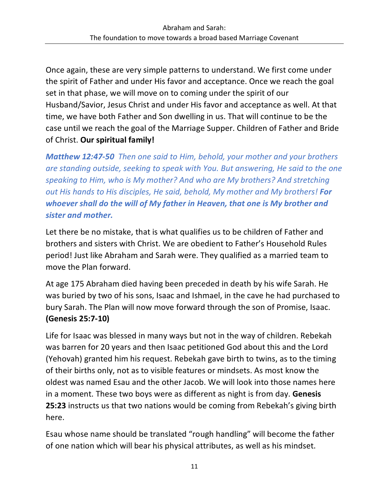Once again, these are very simple patterns to understand. We first come under the spirit of Father and under His favor and acceptance. Once we reach the goal set in that phase, we will move on to coming under the spirit of our Husband/Savior, Jesus Christ and under His favor and acceptance as well. At that time, we have both Father and Son dwelling in us. That will continue to be the case until we reach the goal of the Marriage Supper. Children of Father and Bride of Christ. **Our spiritual family!**

*Matthew 12:47-50 Then one said to Him, behold, your mother and your brothers are standing outside, seeking to speak with You. But answering, He said to the one speaking to Him, who is My mother? And who are My brothers? And stretching out His hands to His disciples, He said, behold, My mother and My brothers! For whoever shall do the will of My father in Heaven, that one is My brother and sister and mother.*

Let there be no mistake, that is what qualifies us to be children of Father and brothers and sisters with Christ. We are obedient to Father's Household Rules period! Just like Abraham and Sarah were. They qualified as a married team to move the Plan forward.

At age 175 Abraham died having been preceded in death by his wife Sarah. He was buried by two of his sons, Isaac and Ishmael, in the cave he had purchased to bury Sarah. The Plan will now move forward through the son of Promise, Isaac. **(Genesis 25:7-10)**

Life for Isaac was blessed in many ways but not in the way of children. Rebekah was barren for 20 years and then Isaac petitioned God about this and the Lord (Yehovah) granted him his request. Rebekah gave birth to twins, as to the timing of their births only, not as to visible features or mindsets. As most know the oldest was named Esau and the other Jacob. We will look into those names here in a moment. These two boys were as different as night is from day. **Genesis 25:23** instructs us that two nations would be coming from Rebekah's giving birth here.

Esau whose name should be translated "rough handling" will become the father of one nation which will bear his physical attributes, as well as his mindset.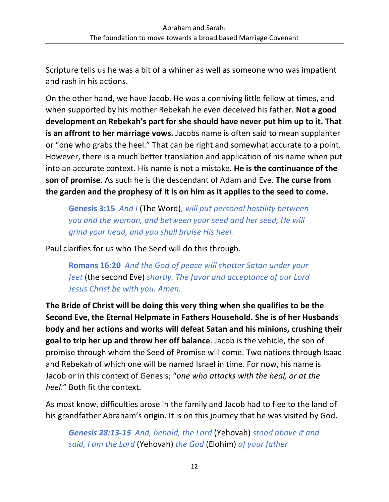Scripture tells us he was a bit of a whiner as well as someone who was impatient and rash in his actions.

On the other hand, we have Jacob. He was a conniving little fellow at times, and when supported by his mother Rebekah he even deceived his father. **Not a good development on Rebekah's part for she should have never put him up to it. That is an affront to her marriage vows.** Jacobs name is often said to mean supplanter or "one who grabs the heel." That can be right and somewhat accurate to a point. However, there is a much better translation and application of his name when put into an accurate context. His name is not a mistake. **He is the continuance of the son of promise**. As such he is the descendant of Adam and Eve. **The curse from the garden and the prophesy of it is on him as it applies to the seed to come.**

**Genesis 3:15** *And I* (The Word)*, will put personal hostility between you and the woman, and between your seed and her seed, He will grind your head, and you shall bruise His heel.*

Paul clarifies for us who The Seed will do this through.

**Romans 16:20** *And the God of peace will shatter Satan under your feet* (the second Eve) *shortly. The favor and acceptance of our Lord Jesus Christ be with you. Amen.*

**The Bride of Christ will be doing this very thing when she qualifies to be the Second Eve, the Eternal Helpmate in Fathers Household. She is of her Husbands body and her actions and works will defeat Satan and his minions, crushing their goal to trip her up and throw her off balance**. Jacob is the vehicle, the son of promise through whom the Seed of Promise will come. Two nations through Isaac and Rebekah of which one will be named Israel in time. For now, his name is Jacob or in this context of Genesis; "*one who attacks with the heal, or at the heel*." Both fit the context.

As most know, difficulties arose in the family and Jacob had to flee to the land of his grandfather Abraham's origin. It is on this journey that he was visited by God.

*Genesis 28:13-15 And, behold, the Lord* (Yehovah) *stood above it and said, I am the Lord* (Yehovah) *the God* (Elohim) *of your father*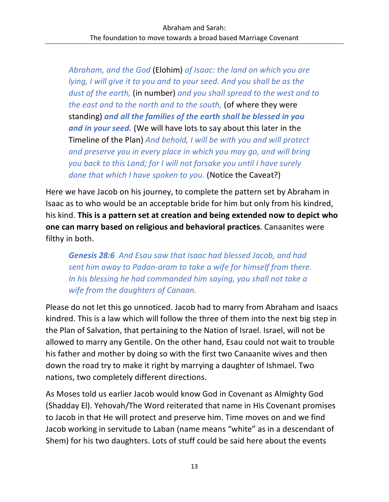*Abraham, and the God* (Elohim) *of Isaac: the land on which you are lying, I will give it to you and to your seed. And you shall be as the dust of the earth,* (in number) *and you shall spread to the west and to the east and to the north and to the south,* (of where they were standing) *and all the families of the earth shall be blessed in you and in your seed.* (We will have lots to say about this later in the Timeline of the Plan) *And behold, I will be with you and will protect and preserve you in every place in which you may go, and will bring you back to this Land; for I will not forsake you until I have surely done that which I have spoken to you.* (Notice the Caveat?)

Here we have Jacob on his journey, to complete the pattern set by Abraham in Isaac as to who would be an acceptable bride for him but only from his kindred, his kind. **This is a pattern set at creation and being extended now to depict who one can marry based on religious and behavioral practices**. Canaanites were filthy in both.

*Genesis 28:6 And Esau saw that Isaac had blessed Jacob, and had sent him away to Padan-aram to take a wife for himself from there. In his blessing he had commanded him saying, you shall not take a wife from the daughters of Canaan.*

Please do not let this go unnoticed. Jacob had to marry from Abraham and Isaacs kindred. This is a law which will follow the three of them into the next big step in the Plan of Salvation, that pertaining to the Nation of Israel. Israel, will not be allowed to marry any Gentile. On the other hand, Esau could not wait to trouble his father and mother by doing so with the first two Canaanite wives and then down the road try to make it right by marrying a daughter of Ishmael. Two nations, two completely different directions.

As Moses told us earlier Jacob would know God in Covenant as Almighty God (Shadday El). Yehovah/The Word reiterated that name in His Covenant promises to Jacob in that He will protect and preserve him. Time moves on and we find Jacob working in servitude to Laban (name means "white" as in a descendant of Shem) for his two daughters. Lots of stuff could be said here about the events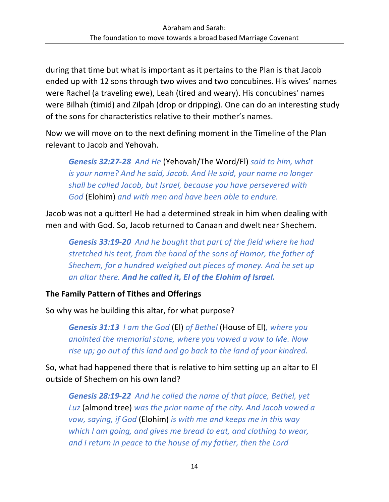during that time but what is important as it pertains to the Plan is that Jacob ended up with 12 sons through two wives and two concubines. His wives' names were Rachel (a traveling ewe), Leah (tired and weary). His concubines' names were Bilhah (timid) and Zilpah (drop or dripping). One can do an interesting study of the sons for characteristics relative to their mother's names.

Now we will move on to the next defining moment in the Timeline of the Plan relevant to Jacob and Yehovah.

*Genesis 32:27-28 And He* (Yehovah/The Word/El) *said to him, what is your name? And he said, Jacob. And He said, your name no longer shall be called Jacob, but Israel, because you have persevered with God* (Elohim) *and with men and have been able to endure.*

Jacob was not a quitter! He had a determined streak in him when dealing with men and with God. So, Jacob returned to Canaan and dwelt near Shechem.

*Genesis 33:19-20 And he bought that part of the field where he had stretched his tent, from the hand of the sons of Hamor, the father of Shechem, for a hundred weighed out pieces of money. And he set up an altar there. And he called it, El of the Elohim of Israel.*

#### **The Family Pattern of Tithes and Offerings**

So why was he building this altar, for what purpose?

*Genesis 31:13 I am the God* (El) *of Bethel* (House of El)*, where you anointed the memorial stone, where you vowed a vow to Me. Now rise up; go out of this land and go back to the land of your kindred.*

So, what had happened there that is relative to him setting up an altar to El outside of Shechem on his own land?

*Genesis 28:19-22 And he called the name of that place, Bethel, yet Luz* (almond tree) *was the prior name of the city. And Jacob vowed a vow, saying, if God* (Elohim) *is with me and keeps me in this way which I am going, and gives me bread to eat, and clothing to wear, and I return in peace to the house of my father, then the Lord*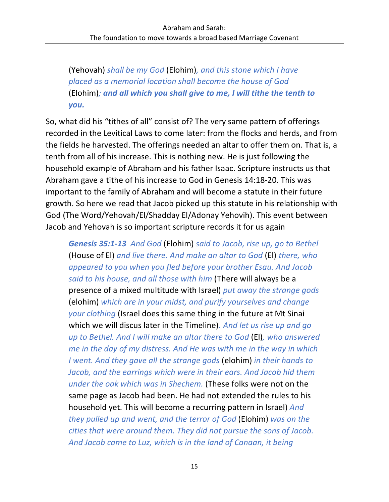(Yehovah) *shall be my God* (Elohim)*, and this stone which I have placed as a memorial location shall become the house of God*  (Elohim)*; and all which you shall give to me, I will tithe the tenth to you.*

So, what did his "tithes of all" consist of? The very same pattern of offerings recorded in the Levitical Laws to come later: from the flocks and herds, and from the fields he harvested. The offerings needed an altar to offer them on. That is, a tenth from all of his increase. This is nothing new. He is just following the household example of Abraham and his father Isaac. Scripture instructs us that Abraham gave a tithe of his increase to God in Genesis 14:18-20. This was important to the family of Abraham and will become a statute in their future growth. So here we read that Jacob picked up this statute in his relationship with God (The Word/Yehovah/El/Shadday El/Adonay Yehovih). This event between Jacob and Yehovah is so important scripture records it for us again

*Genesis 35:1-13 And God* (Elohim) *said to Jacob, rise up, go to Bethel*  (House of El) *and live there. And make an altar to God* (El) *there, who appeared to you when you fled before your brother Esau. And Jacob said to his house, and all those with him* (There will always be a presence of a mixed multitude with Israel) *put away the strange gods*  (elohim) *which are in your midst, and purify yourselves and change your clothing* (Israel does this same thing in the future at Mt Sinai which we will discus later in the Timeline)*. And let us rise up and go up to Bethel. And I will make an altar there to God* (El)*, who answered me in the day of my distress. And He was with me in the way in which I went. And they gave all the strange gods* (elohim) *in their hands to Jacob, and the earrings which were in their ears. And Jacob hid them under the oak which was in Shechem.* (These folks were not on the same page as Jacob had been. He had not extended the rules to his household yet. This will become a recurring pattern in Israel) *And they pulled up and went, and the terror of God* (Elohim) *was on the cities that were around them. They did not pursue the sons of Jacob. And Jacob came to Luz, which is in the land of Canaan, it being*